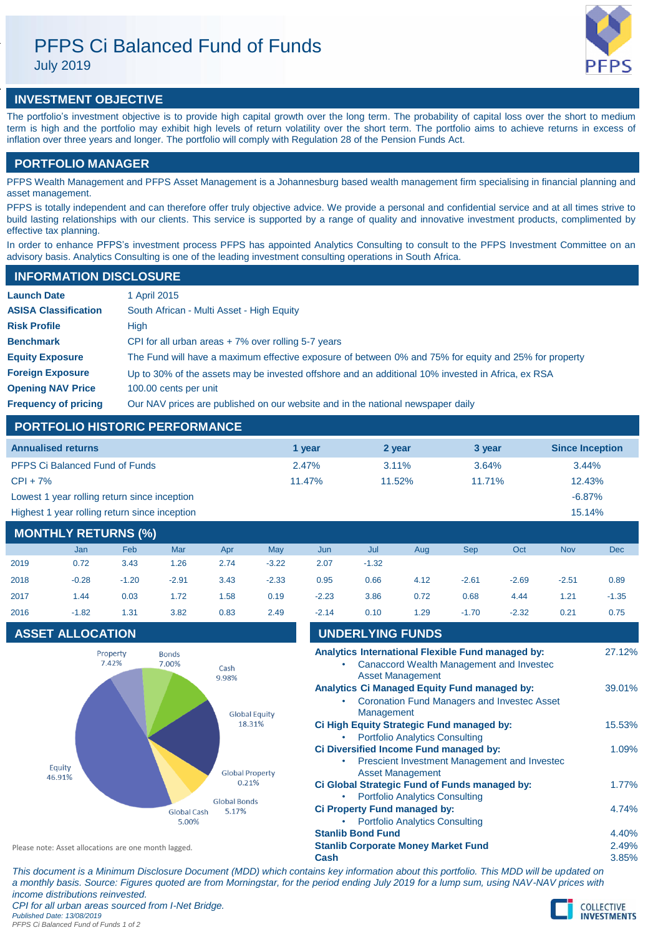# PFPS Ci Balanced Fund of Funds

July 2019



## **INVESTMENT OBJECTIVE**

The portfolio's investment objective is to provide high capital growth over the long term. The probability of capital loss over the short to medium term is high and the portfolio may exhibit high levels of return volatility over the short term. The portfolio aims to achieve returns in excess of inflation over three years and longer. The portfolio will comply with Regulation 28 of the Pension Funds Act.

## **PORTFOLIO MANAGER**

PFPS Wealth Management and PFPS Asset Management is a Johannesburg based wealth management firm specialising in financial planning and asset management.

PFPS is totally independent and can therefore offer truly objective advice. We provide a personal and confidential service and at all times strive to build lasting relationships with our clients. This service is supported by a range of quality and innovative investment products, complimented by effective tax planning.

In order to enhance PFPS's investment process PFPS has appointed Analytics Consulting to consult to the PFPS Investment Committee on an advisory basis. Analytics Consulting is one of the leading investment consulting operations in South Africa.

## **INFORMATION DISCLOSURE**

| <b>Launch Date</b>          | 1 April 2015                                                                                          |
|-----------------------------|-------------------------------------------------------------------------------------------------------|
| <b>ASISA Classification</b> | South African - Multi Asset - High Equity                                                             |
| <b>Risk Profile</b>         | High                                                                                                  |
| <b>Benchmark</b>            | CPI for all urban areas $+7\%$ over rolling 5-7 years                                                 |
| <b>Equity Exposure</b>      | The Fund will have a maximum effective exposure of between 0% and 75% for equity and 25% for property |
| <b>Foreign Exposure</b>     | Up to 30% of the assets may be invested offshore and an additional 10% invested in Africa, ex RSA     |
| <b>Opening NAV Price</b>    | 100.00 cents per unit                                                                                 |
| <b>Frequency of pricing</b> | Our NAV prices are published on our website and in the national newspaper daily                       |

## **PORTFOLIO HISTORIC PERFORMANCE**

| <b>Annualised returns</b>                     | 1 vear    | 2 year   | 3 year    | <b>Since Inception</b> |
|-----------------------------------------------|-----------|----------|-----------|------------------------|
| <b>PFPS Ci Balanced Fund of Funds</b>         | 2.47%     | $3.11\%$ | 3.64%     | 3.44%                  |
| $CPI + 7%$                                    | $11.47\%$ | 11.52%   | $11.71\%$ | 12.43%                 |
| Lowest 1 year rolling return since inception  |           |          |           | $-6.87%$               |
| Highest 1 year rolling return since inception |           |          |           | 15.14%                 |

## **MONTHLY RETURNS (%)**

|      | <b>Jan</b> | <b>Feb</b> | Mar     | Apr  | May     | Jun     | Jul     | Aug  | <b>Sep</b> | Oct     | <b>Nov</b> | Dec     |
|------|------------|------------|---------|------|---------|---------|---------|------|------------|---------|------------|---------|
| 2019 | 0.72       | 3.43       | 1.26    | 2.74 | $-3.22$ | 2.07    | $-1.32$ |      |            |         |            |         |
| 2018 | $-0.28$    | $-1.20$    | $-2.91$ | 3.43 | $-2.33$ | 0.95    | 0.66    | 4.12 | $-2.61$    | $-2.69$ | $-2.51$    | 0.89    |
| 2017 | 1.44       | 0.03       | 1.72    | 1.58 | 0.19    | $-2.23$ | 3.86    | 0.72 | 0.68       | 4.44    | 1.21       | $-1.35$ |
| 2016 | $-1.82$    | 1.31       | 3.82    | 0.83 | 2.49    | $-2.14$ | 0.10    | 1.29 | $-1.70$    | $-2.32$ | 0.21       | 0.75    |

## **ASSET ALLOCATION**



| 2019                                       | 0.72                    | 3.43    | 1.26          | 2.74                 | $-3.22$ | 2.07    | $-1.32$                                                                                                                         |                                                                                                    |         |         |         |         |
|--------------------------------------------|-------------------------|---------|---------------|----------------------|---------|---------|---------------------------------------------------------------------------------------------------------------------------------|----------------------------------------------------------------------------------------------------|---------|---------|---------|---------|
| 2018                                       | $-0.28$                 | $-1.20$ | $-2.91$       | 3.43                 | $-2.33$ | 0.95    | 0.66                                                                                                                            | 4.12                                                                                               | $-2.61$ | $-2.69$ | $-2.51$ | 0.89    |
| 2017                                       | 1.44                    | 0.03    | 1.72          | 1.58                 | 0.19    | $-2.23$ | 3.86                                                                                                                            | 0.72                                                                                               | 0.68    | 4.44    | 1.21    | $-1.35$ |
| 2016                                       | $-1.82$                 | 1.31    | 3.82          | 0.83                 | 2.49    | $-2.14$ | 0.10                                                                                                                            | 1.29                                                                                               | $-1.70$ | $-2.32$ | 0.21    | 0.75    |
|                                            | <b>ASSET ALLOCATION</b> |         |               |                      |         |         | <b>UNDERLYING FUNDS</b>                                                                                                         |                                                                                                    |         |         |         |         |
| Property<br><b>Bonds</b><br>7.42%<br>7.00% |                         |         | Cash<br>9.98% |                      |         |         | Analytics International Flexible Fund managed by:<br><b>Canaccord Wealth Management and Investec</b><br><b>Asset Management</b> |                                                                                                    |         |         | 27.12%  |         |
|                                            |                         |         |               | <b>Global Equity</b> |         |         | Management                                                                                                                      | Analytics Ci Managed Equity Fund managed by:<br><b>Coronation Fund Managers and Investec Asset</b> |         |         |         | 39.01%  |
|                                            |                         |         |               | 18.31%               |         |         |                                                                                                                                 | Ci High Equity Strategic Fund managed by:<br><b>Portfolio Analytics Consulting</b>                 |         |         |         | 15.53%  |
|                                            |                         |         |               |                      |         |         |                                                                                                                                 |                                                                                                    |         |         |         |         |

| Profession Presented Concenting               |          |
|-----------------------------------------------|----------|
| Ci Diversified Income Fund managed by:        | 1.09%    |
| Prescient Investment Management and Invested  |          |
| <b>Asset Management</b>                       |          |
| Ci Global Strategic Fund of Funds managed by: | $1.77\%$ |
| • Portfolio Analytics Consulting              |          |
| Ci Property Fund managed by:                  | 4.74%    |
| • Portfolio Analytics Consulting              |          |
| <b>Stanlib Bond Fund</b>                      | 4.40%    |
| <b>Stanlib Corporate Money Market Fund</b>    | 2.49%    |

**Cash** 3.85%

Please note: Asset allocations are one month lagged.

*This document is a Minimum Disclosure Document (MDD) which contains key information about this portfolio. This MDD will be updated on a monthly basis. Source: Figures quoted are from Morningstar, for the period ending July 2019 for a lump sum, using NAV-NAV prices with income distributions reinvested. CPI for all urban areas sourced from I-Net Bridge. Published Date: 13/08/2019 PFPS Ci Balanced Fund of Funds 1 of 2*